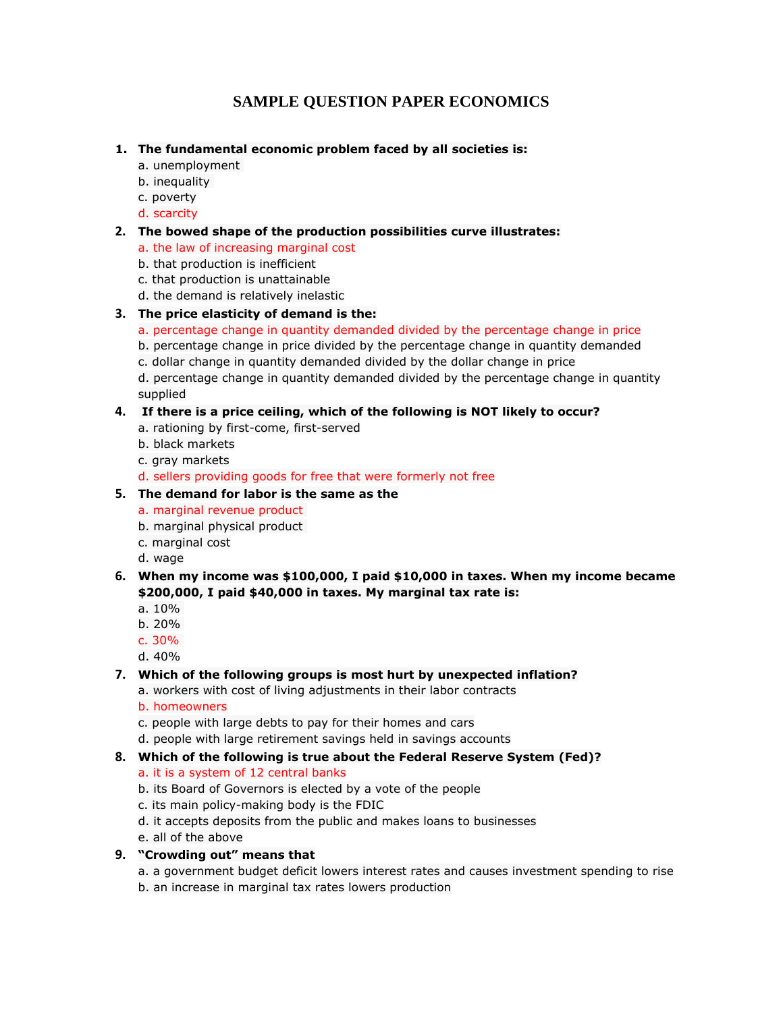# **SAMPLE QUESTION PAPER ECONOMICS**

#### **1. The fundamental economic problem faced by all societies is:**

- a. unemployment
- b. inequality
- c. poverty
- d. scarcity

### **2. The bowed shape of the production possibilities curve illustrates:**

- a. the law of increasing marginal cost
- b. that production is inefficient
- c. that production is unattainable
- d. the demand is relatively inelastic

# **3. The price elasticity of demand is the:**

- a. percentage change in quantity demanded divided by the percentage change in price
- b. percentage change in price divided by the percentage change in quantity demanded
- c. dollar change in quantity demanded divided by the dollar change in price

d. percentage change in quantity demanded divided by the percentage change in quantity supplied

### **4. If there is a price ceiling, which of the following is NOT likely to occur?**

- a. rationing by first-come, first-served
- b. black markets
- c. gray markets
- d. sellers providing goods for free that were formerly not free

#### **5. The demand for labor is the same as the**

- a. marginal revenue product
- b. marginal physical product
- c. marginal cost
- d. wage
- **6. When my income was \$100,000, I paid \$10,000 in taxes. When my income became \$200,000, I paid \$40,000 in taxes. My marginal tax rate is:**
	- a.  $10%$
	- b. 20%
	- c. 30%
	- d. 40%

# **7. Which of the following groups is most hurt by unexpected inflation?**

- a. workers with cost of living adjustments in their labor contracts
- b. homeowners
- c. people with large debts to pay for their homes and cars
- d. people with large retirement savings held in savings accounts
- **8. Which of the following is true about the Federal Reserve System (Fed)?**
	- a. it is a system of 12 central banks
	- b. its Board of Governors is elected by a vote of the people
	- c. its main policy-making body is the FDIC
	- d. it accepts deposits from the public and makes loans to businesses
	- e. all of the above
- **9. "Crowding out" means that**
	- a. a government budget deficit lowers interest rates and causes investment spending to rise b. an increase in marginal tax rates lowers production